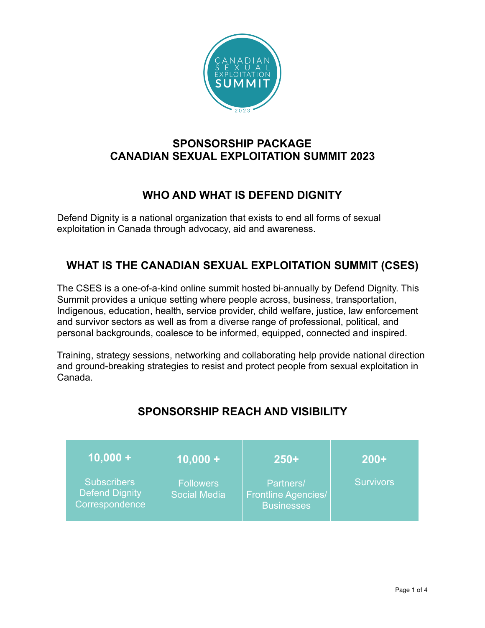

# **SPONSORSHIP PACKAGE CANADIAN SEXUAL EXPLOITATION SUMMIT 2023**

# **WHO AND WHAT IS DEFEND DIGNITY**

Defend Dignity is a national organization that exists to end all forms of sexual exploitation in Canada through advocacy, aid and awareness.

# **WHAT IS THE CANADIAN SEXUAL EXPLOITATION SUMMIT (CSES)**

The CSES is a one-of-a-kind online summit hosted bi-annually by Defend Dignity. This Summit provides a unique setting where people across, business, transportation, Indigenous, education, health, service provider, child welfare, justice, law enforcement and survivor sectors as well as from a diverse range of professional, political, and personal backgrounds, coalesce to be informed, equipped, connected and inspired.

Training, strategy sessions, networking and collaborating help provide national direction and ground-breaking strategies to resist and protect people from sexual exploitation in Canada.

| $10,000 +$                                                    | $10,000 +$                                    | $250+$                                                       | $200+$           |
|---------------------------------------------------------------|-----------------------------------------------|--------------------------------------------------------------|------------------|
| <b>Subscribers</b><br><b>Defend Dignity</b><br>Correspondence | <b>Followers</b><br>Social Media <sup>1</sup> | Partners/<br><b>Frontline Agencies/</b><br><b>Businesses</b> | <b>Survivors</b> |

# **SPONSORSHIP REACH AND VISIBILITY**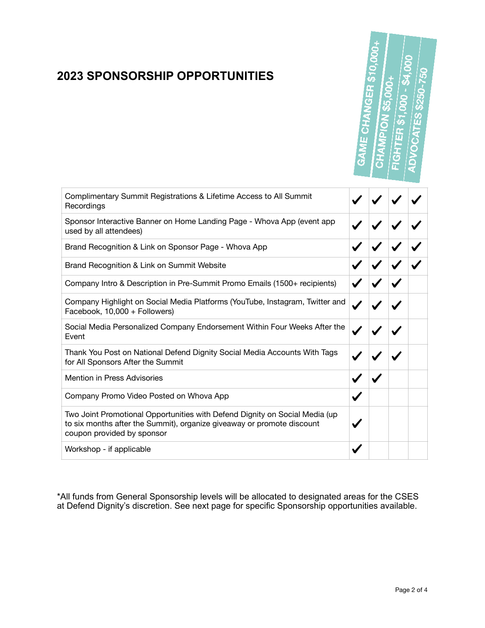# **2023 SPONSORSHIP OPPORTUNITIES**



| Complimentary Summit Registrations & Lifetime Access to All Summit<br>Recordings                                                                                                    |  |  |  |
|-------------------------------------------------------------------------------------------------------------------------------------------------------------------------------------|--|--|--|
| Sponsor Interactive Banner on Home Landing Page - Whova App (event app<br>used by all attendees)                                                                                    |  |  |  |
| Brand Recognition & Link on Sponsor Page - Whova App                                                                                                                                |  |  |  |
| Brand Recognition & Link on Summit Website                                                                                                                                          |  |  |  |
| Company Intro & Description in Pre-Summit Promo Emails (1500+ recipients)                                                                                                           |  |  |  |
| Company Highlight on Social Media Platforms (YouTube, Instagram, Twitter and<br>Facebook, 10,000 + Followers)                                                                       |  |  |  |
| Social Media Personalized Company Endorsement Within Four Weeks After the<br>Event                                                                                                  |  |  |  |
| Thank You Post on National Defend Dignity Social Media Accounts With Tags<br>for All Sponsors After the Summit                                                                      |  |  |  |
| <b>Mention in Press Advisories</b>                                                                                                                                                  |  |  |  |
| Company Promo Video Posted on Whova App                                                                                                                                             |  |  |  |
| Two Joint Promotional Opportunities with Defend Dignity on Social Media (up<br>to six months after the Summit), organize giveaway or promote discount<br>coupon provided by sponsor |  |  |  |
| Workshop - if applicable                                                                                                                                                            |  |  |  |

\*All funds from General Sponsorship levels will be allocated to designated areas for the CSES at Defend Dignity's discretion. See next page for specific Sponsorship opportunities available.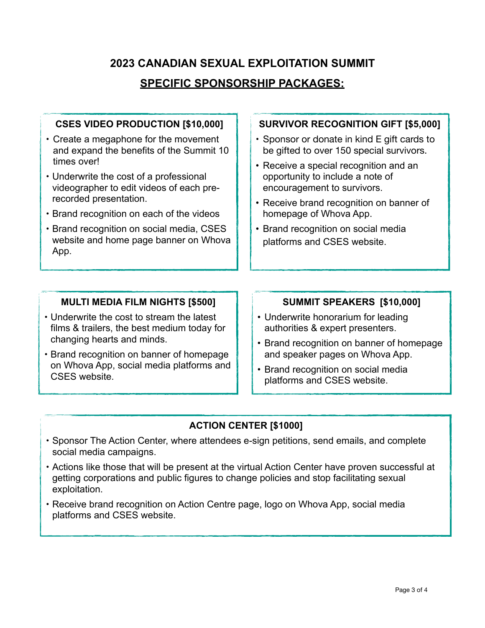## **2023 CANADIAN SEXUAL EXPLOITATION SUMMIT**

# **SPECIFIC SPONSORSHIP PACKAGES:**

#### **CSES VIDEO PRODUCTION [\$10,000]**

- Create a megaphone for the movement and expand the benefits of the Summit 10 times over!
- Underwrite the cost of a professional videographer to edit videos of each prerecorded presentation.
- Brand recognition on each of the videos
- Brand recognition on social media, CSES website and home page banner on Whova App.

#### **SURVIVOR RECOGNITION GIFT [\$5,000]**

- Sponsor or donate in kind E gift cards to be gifted to over 150 special survivors.
- Receive a special recognition and an opportunity to include a note of encouragement to survivors.
- Receive brand recognition on banner of homepage of Whova App.
- Brand recognition on social media platforms and CSES website.

#### **MULTI MEDIA FILM NIGHTS [\$500]**

- Underwrite the cost to stream the latest films & trailers, the best medium today for changing hearts and minds.
- Brand recognition on banner of homepage on Whova App, social media platforms and CSES website.

#### **SUMMIT SPEAKERS [\$10,000]**

- Underwrite honorarium for leading authorities & expert presenters.
- Brand recognition on banner of homepage and speaker pages on Whova App.
- Brand recognition on social media platforms and CSES website.

#### **ACTION CENTER [\$1000]**

- Sponsor The Action Center, where attendees e-sign petitions, send emails, and complete social media campaigns.
- Actions like those that will be present at the virtual Action Center have proven successful at getting corporations and public figures to change policies and stop facilitating sexual exploitation.
- Receive brand recognition on Action Centre page, logo on Whova App, social media platforms and CSES website.